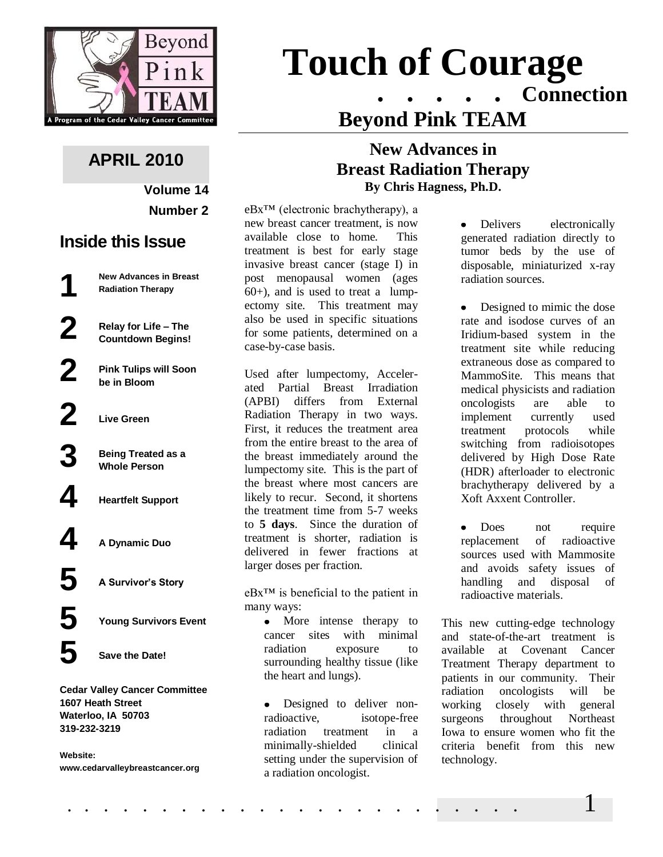

# **APRIL 2010**

**Volume 14 Number 2**

**Inside this Issue**

**1**

**2**

**3**

**New Advances in Breast Radiation Therapy**

**Relay for Life – The Countdown Begins!**

**2 Pink Tulips will Soon be in Bloom**

**2 Live Green**

**Being Treated as a Whole Person**

**4 Heartfelt Support**

**4 A Dynamic Duo**

**5 A Survivor's Story**

**5 Young Survivors Event**

**5 Save the Date!**

**Cedar Valley Cancer Committee 1607 Heath Street Waterloo, IA 50703 319-232-3219**

**Website: www.cedarvalleybreastcancer.org**

# **Touch of Courage** . . . . . **Connection**

# **Beyond Pink TEAM**

# **New Advances in Breast Radiation Therapy By Chris Hagness, Ph.D.**

eBx™ (electronic brachytherapy), a new breast cancer treatment, is now available close to home. This treatment is best for early stage invasive breast cancer (stage I) in post menopausal women (ages  $60+$ ), and is used to treat a lumpectomy site. This treatment may also be used in specific situations for some patients, determined on a case-by-case basis.

Used after lumpectomy, Accelerated Partial Breast Irradiation (APBI) differs from External Radiation Therapy in two ways. First, it reduces the treatment area from the entire breast to the area of the breast immediately around the lumpectomy site. This is the part of the breast where most cancers are likely to recur. Second, it shortens the treatment time from 5-7 weeks to **5 days**. Since the duration of treatment is shorter, radiation is delivered in fewer fractions at larger doses per fraction.

eBx™ is beneficial to the patient in many ways:

 $\bullet$ More intense therapy to cancer sites with minimal radiation exposure to surrounding healthy tissue (like the heart and lungs).

Designed to deliver non- $\bullet$ radioactive, isotope-free radiation treatment in a minimally-shielded clinical setting under the supervision of a radiation oncologist.

• Delivers electronically generated radiation directly to tumor beds by the use of disposable, miniaturized x-ray radiation sources.

 $\bullet$ Designed to mimic the dose rate and isodose curves of an Iridium-based system in the treatment site while reducing extraneous dose as compared to MammoSite. This means that medical physicists and radiation oncologists are able to implement currently used treatment protocols while switching from radioisotopes delivered by High Dose Rate (HDR) afterloader to electronic brachytherapy delivered by a Xoft Axxent Controller.

• Does not require replacement of radioactive sources used with Mammosite and avoids safety issues of handling and disposal of radioactive materials.

This new cutting-edge technology and state-of-the-art treatment is available at Covenant Cancer Treatment Therapy department to patients in our community. Their radiation oncologists will be working closely with general surgeons throughout Northeast Iowa to ensure women who fit the criteria benefit from this new technology.

. . . . . . . . . . . . . . . . . . . . . . . . 1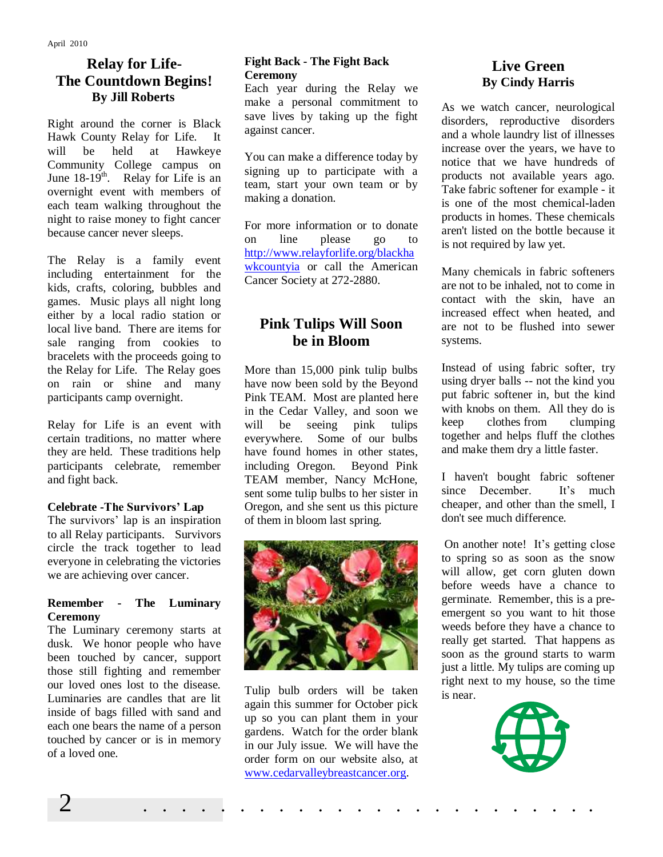April 2010

# **Relay for Life-The Countdown Begins! By Jill Roberts**

Right around the corner is Black Hawk County Relay for Life. It will be held at Hawkeye Community College campus on June  $18-19$ <sup>th</sup>. Relay for Life is an overnight event with members of each team walking throughout the night to raise money to fight cancer because cancer never sleeps.

The Relay is a family event including entertainment for the kids, crafts, coloring, bubbles and games. Music plays all night long either by a local radio station or local live band. There are items for sale ranging from cookies to bracelets with the proceeds going to the Relay for Life. The Relay goes on rain or shine and many participants camp overnight.

Relay for Life is an event with certain traditions, no matter where they are held. These traditions help participants celebrate, remember and fight back.

#### **Celebrate -The Survivors' Lap**

The survivors' lap is an inspiration to all Relay participants. Survivors circle the track together to lead everyone in celebrating the victories we are achieving over cancer.

#### **Remember - The Luminary Ceremony**

The Luminary ceremony starts at dusk. We honor people who have been touched by cancer, support those still fighting and remember our loved ones lost to the disease. Luminaries are candles that are lit inside of bags filled with sand and each one bears the name of a person touched by cancer or is in memory of a loved one.

#### **Fight Back - The Fight Back Ceremony**

Each year during the Relay we make a personal commitment to save lives by taking up the fight against cancer.

You can make a difference today by signing up to participate with a team, start your own team or by making a donation.

For more information or to donate on line please go to http://www.relayforlife.org/blackha wkcountyia or call the American Cancer Society at 272-2880.

# **Pink Tulips Will Soon be in Bloom**

More than 15,000 pink tulip bulbs have now been sold by the Beyond Pink TEAM. Most are planted here in the Cedar Valley, and soon we will be seeing pink tulips everywhere. Some of our bulbs have found homes in other states, including Oregon. Beyond Pink TEAM member, Nancy McHone, sent some tulip bulbs to her sister in Oregon, and she sent us this picture of them in bloom last spring.



Tulip bulb orders will be taken again this summer for October pick up so you can plant them in your gardens. Watch for the order blank in our July issue. We will have the order form on our website also, at [www.cedarvalleybreastcancer.org.](http://www.cedarvalleybreastcancer.org/)

# **Live Green By Cindy Harris**

As we watch cancer, neurological disorders, reproductive disorders and a whole laundry list of illnesses increase over the years, we have to notice that we have hundreds of products not available years ago. Take fabric softener for example - it is one of the most chemical-laden products in homes. These chemicals aren't listed on the bottle because it is not required by law yet.

Many chemicals in fabric softeners are not to be inhaled, not to come in contact with the skin, have an increased effect when heated, and are not to be flushed into sewer systems.

Instead of using fabric softer, try using dryer balls -- not the kind you put fabric softener in, but the kind with knobs on them. All they do is keep clothes from clumping together and helps fluff the clothes and make them dry a little faster.

I haven't bought fabric softener since December. It's much cheaper, and other than the smell, I don't see much difference.

On another note! It's getting close to spring so as soon as the snow will allow, get corn gluten down before weeds have a chance to germinate. Remember, this is a preemergent so you want to hit those weeds before they have a chance to really get started. That happens as soon as the ground starts to warm just a little. My tulips are coming up right next to my house, so the time is near.

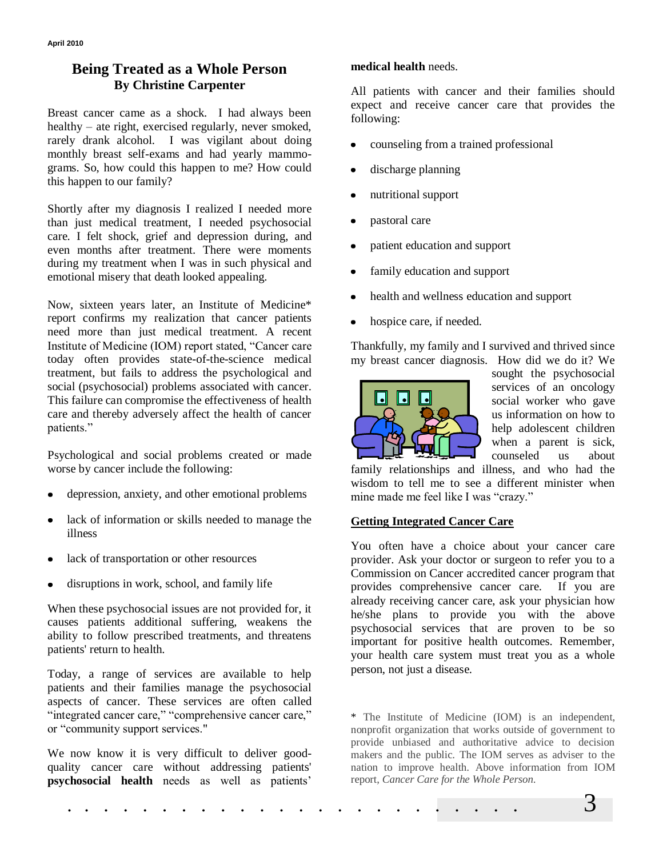#### **Being Treated as a Whole Person By Christine Carpenter**

Breast cancer came as a shock. I had always been healthy – ate right, exercised regularly, never smoked, rarely drank alcohol. I was vigilant about doing monthly breast self-exams and had yearly mammograms. So, how could this happen to me? How could this happen to our family?

Shortly after my diagnosis I realized I needed more than just medical treatment, I needed psychosocial care. I felt shock, grief and depression during, and even months after treatment. There were moments during my treatment when I was in such physical and emotional misery that death looked appealing.

Now, sixteen years later, an Institute of Medicine\* report confirms my realization that cancer patients need more than just medical treatment. A recent Institute of Medicine (IOM) report stated, "Cancer care today often provides state-of-the-science medical treatment, but fails to address the psychological and social (psychosocial) problems associated with cancer. This failure can compromise the effectiveness of health care and thereby adversely affect the health of cancer patients."

Psychological and social problems created or made worse by cancer include the following:

- depression, anxiety, and other emotional problems
- lack of information or skills needed to manage the  $\bullet$ illness
- lack of transportation or other resources
- disruptions in work, school, and family life

When these psychosocial issues are not provided for, it causes patients additional suffering, weakens the ability to follow prescribed treatments, and threatens patients' return to health.

Today, a range of services are available to help patients and their families manage the psychosocial aspects of cancer. These services are often called "integrated cancer care," "comprehensive cancer care," or "community support services."

We now know it is very difficult to deliver goodquality cancer care without addressing patients' **psychosocial health** needs as well as patients'

#### **medical health** needs.

All patients with cancer and their families should expect and receive cancer care that provides the following:

- counseling from a trained professional  $\bullet$
- discharge planning  $\bullet$
- nutritional support
- pastoral care
- patient education and support
- family education and support
- health and wellness education and support
- hospice care, if needed.

Thankfully, my family and I survived and thrived since my breast cancer diagnosis. How did we do it? We



sought the psychosocial services of an oncology social worker who gave us information on how to help adolescent children when a parent is sick, counseled us about

family relationships and illness, and who had the wisdom to tell me to see a different minister when mine made me feel like I was "crazy."

#### **Getting Integrated Cancer Care**

. . . . . . . . . . . . . . . . . . . . . . . . 3

You often have a choice about your cancer care provider. Ask your doctor or surgeon to refer you to a Commission on Cancer accredited cancer program that provides comprehensive cancer care. If you are already receiving cancer care, ask your physician how he/she plans to provide you with the above psychosocial services that are proven to be so important for positive health outcomes. Remember, your health care system must treat you as a whole person, not just a disease.

\* The Institute of Medicine (IOM) is an independent, nonprofit organization that works outside of government to provide unbiased and authoritative advice to decision makers and the public. The IOM serves as adviser to the nation to improve health. Above information from IOM report, *Cancer Care for the Whole Person.*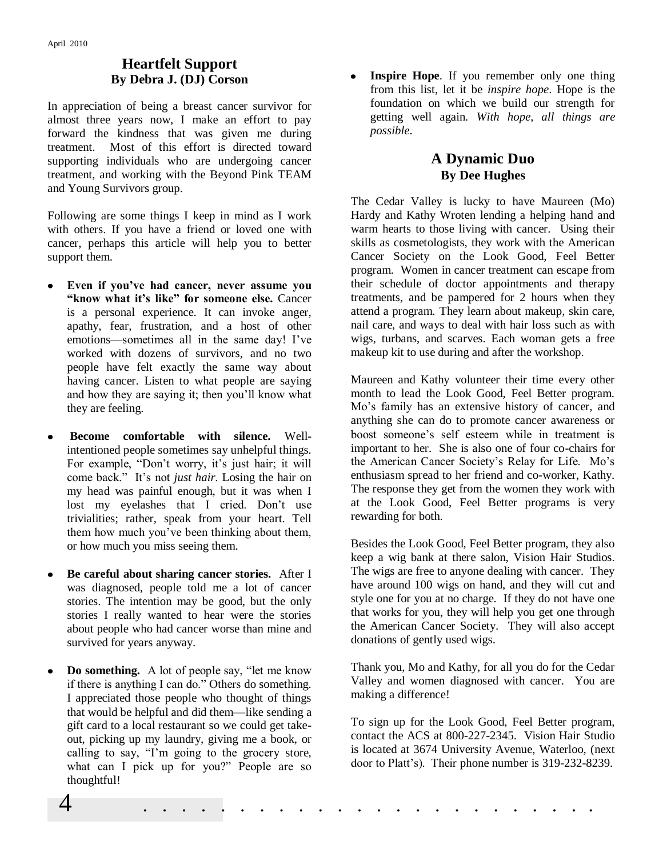# **Heartfelt Support By Debra J. (DJ) Corson**

In appreciation of being a breast cancer survivor for almost three years now, I make an effort to pay forward the kindness that was given me during treatment. Most of this effort is directed toward supporting individuals who are undergoing cancer treatment, and working with the Beyond Pink TEAM and Young Survivors group.

Following are some things I keep in mind as I work with others. If you have a friend or loved one with cancer, perhaps this article will help you to better support them.

- **Even if you've had cancer, never assume you "know what it's like" for someone else.** Cancer is a personal experience. It can invoke anger, apathy, fear, frustration, and a host of other emotions—sometimes all in the same day! I've worked with dozens of survivors, and no two people have felt exactly the same way about having cancer. Listen to what people are saying and how they are saying it; then you'll know what they are feeling.
- **Become comfortable with silence.** Wellintentioned people sometimes say unhelpful things. For example, "Don't worry, it's just hair; it will come back.‖ It's not *just hair*. Losing the hair on my head was painful enough, but it was when I lost my eyelashes that I cried. Don't use trivialities; rather, speak from your heart. Tell them how much you've been thinking about them, or how much you miss seeing them.
- **Be careful about sharing cancer stories.** After I was diagnosed, people told me a lot of cancer stories. The intention may be good, but the only stories I really wanted to hear were the stories about people who had cancer worse than mine and survived for years anyway.
- **Do something.** A lot of people say, "let me know if there is anything I can do." Others do something. I appreciated those people who thought of things that would be helpful and did them—like sending a gift card to a local restaurant so we could get takeout, picking up my laundry, giving me a book, or calling to say, "I'm going to the grocery store, what can I pick up for you?" People are so thoughtful!

4 . . . . . . . . . . . . . . . . . . . . . . . .

 $\bullet$ **Inspire Hope**. If you remember only one thing from this list, let it be *inspire hope*. Hope is the foundation on which we build our strength for getting well again. *With hope, all things are possible*.

# **A Dynamic Duo By Dee Hughes**

The Cedar Valley is lucky to have Maureen (Mo) Hardy and Kathy Wroten lending a helping hand and warm hearts to those living with cancer. Using their skills as cosmetologists, they work with the American Cancer Society on the Look Good, Feel Better program. Women in cancer treatment can escape from their schedule of doctor appointments and therapy treatments, and be pampered for 2 hours when they attend a program. They learn about makeup, skin care, nail care, and ways to deal with hair loss such as with wigs, turbans, and scarves. Each woman gets a free makeup kit to use during and after the workshop.

Maureen and Kathy volunteer their time every other month to lead the Look Good, Feel Better program. Mo's family has an extensive history of cancer, and anything she can do to promote cancer awareness or boost someone's self esteem while in treatment is important to her. She is also one of four co-chairs for the American Cancer Society's Relay for Life. Mo's enthusiasm spread to her friend and co-worker, Kathy. The response they get from the women they work with at the Look Good, Feel Better programs is very rewarding for both.

Besides the Look Good, Feel Better program, they also keep a wig bank at there salon, Vision Hair Studios. The wigs are free to anyone dealing with cancer. They have around 100 wigs on hand, and they will cut and style one for you at no charge. If they do not have one that works for you, they will help you get one through the American Cancer Society. They will also accept donations of gently used wigs.

Thank you, Mo and Kathy, for all you do for the Cedar Valley and women diagnosed with cancer. You are making a difference!

To sign up for the Look Good, Feel Better program, contact the ACS at 800-227-2345. Vision Hair Studio is located at 3674 University Avenue, Waterloo, (next door to Platt's). Their phone number is 319-232-8239.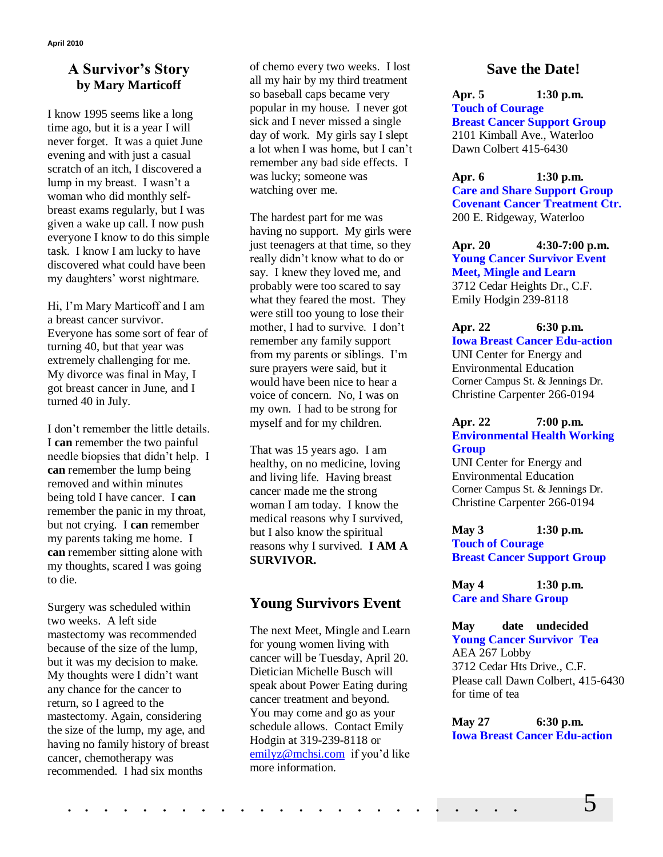#### **A Survivor's Story by Mary Marticoff**

I know 1995 seems like a long time ago, but it is a year I will never forget. It was a quiet June evening and with just a casual scratch of an itch, I discovered a lump in my breast. I wasn't a woman who did monthly selfbreast exams regularly, but I was given a wake up call. I now push everyone I know to do this simple task. I know I am lucky to have discovered what could have been my daughters' worst nightmare.

Hi, I'm Mary Marticoff and I am a breast cancer survivor. Everyone has some sort of fear of turning 40, but that year was extremely challenging for me. My divorce was final in May, I got breast cancer in June, and I turned 40 in July.

I don't remember the little details. I **can** remember the two painful needle biopsies that didn't help. I **can** remember the lump being removed and within minutes being told I have cancer. I **can** remember the panic in my throat, but not crying. I **can** remember my parents taking me home. I **can** remember sitting alone with my thoughts, scared I was going to die.

Surgery was scheduled within two weeks. A left side mastectomy was recommended because of the size of the lump, but it was my decision to make. My thoughts were I didn't want any chance for the cancer to return, so I agreed to the mastectomy. Again, considering the size of the lump, my age, and having no family history of breast cancer, chemotherapy was recommended. I had six months

of chemo every two weeks. I lost all my hair by my third treatment so baseball caps became very popular in my house. I never got sick and I never missed a single day of work. My girls say I slept a lot when I was home, but I can't remember any bad side effects. I was lucky; someone was watching over me.

The hardest part for me was having no support. My girls were just teenagers at that time, so they really didn't know what to do or say. I knew they loved me, and probably were too scared to say what they feared the most. They were still too young to lose their mother, I had to survive. I don't remember any family support from my parents or siblings. I'm sure prayers were said, but it would have been nice to hear a voice of concern. No, I was on my own. I had to be strong for myself and for my children.

That was 15 years ago. I am healthy, on no medicine, loving and living life. Having breast cancer made me the strong woman I am today. I know the medical reasons why I survived, but I also know the spiritual reasons why I survived. **I AM A SURVIVOR.**

# **Young Survivors Event**

The next Meet, Mingle and Learn for young women living with cancer will be Tuesday, April 20. Dietician Michelle Busch will speak about Power Eating during cancer treatment and beyond. You may come and go as your schedule allows. Contact Emily Hodgin at 319-239-8118 or [emilyz@mchsi.com](mailto:emilyz@mchsi.com) if you'd like more information.

#### **Save the Date!**

**Apr. 5 1:30 p.m. Touch of Courage Breast Cancer Support Group** 2101 Kimball Ave., Waterloo Dawn Colbert 415-6430

**Apr. 6 1:30 p.m. Care and Share Support Group Covenant Cancer Treatment Ctr.** 200 E. Ridgeway, Waterloo

**Apr. 20 4:30-7:00 p.m. Young Cancer Survivor Event Meet, Mingle and Learn** 3712 Cedar Heights Dr., C.F. Emily Hodgin 239-8118

**Apr. 22 6:30 p.m. Iowa Breast Cancer Edu-action** UNI Center for Energy and Environmental Education Corner Campus St. & Jennings Dr. Christine Carpenter 266-0194

#### **Apr. 22 7:00 p.m. Environmental Health Working Group**

UNI Center for Energy and Environmental Education Corner Campus St. & Jennings Dr. Christine Carpenter 266-0194

**May 3 1:30 p.m. Touch of Courage Breast Cancer Support Group**

**May 4 1:30 p.m. Care and Share Group**

**May date undecided Young Cancer Survivor Tea** AEA 267 Lobby 3712 Cedar Hts Drive., C.F. Please call Dawn Colbert, 415-6430 for time of tea

**May 27 6:30 p.m. Iowa Breast Cancer Edu-action**